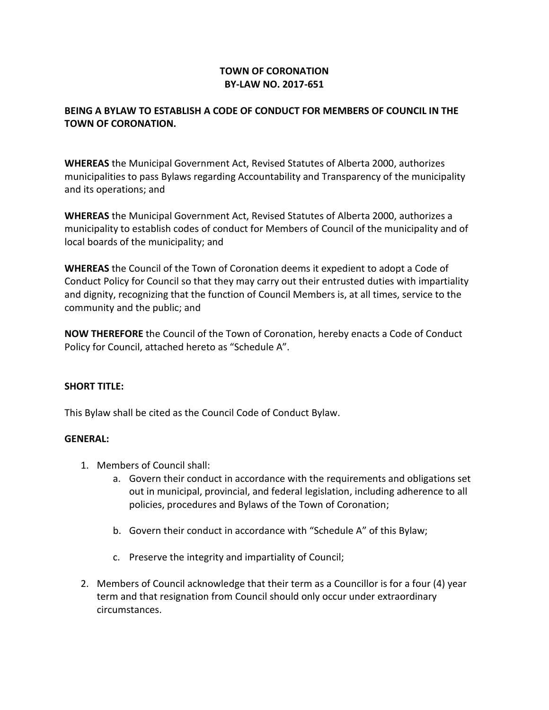# **TOWN OF CORONATION BY-LAW NO. 2017-651**

# **BEING A BYLAW TO ESTABLISH A CODE OF CONDUCT FOR MEMBERS OF COUNCIL IN THE TOWN OF CORONATION.**

**WHEREAS** the Municipal Government Act, Revised Statutes of Alberta 2000, authorizes municipalities to pass Bylaws regarding Accountability and Transparency of the municipality and its operations; and

**WHEREAS** the Municipal Government Act, Revised Statutes of Alberta 2000, authorizes a municipality to establish codes of conduct for Members of Council of the municipality and of local boards of the municipality; and

**WHEREAS** the Council of the Town of Coronation deems it expedient to adopt a Code of Conduct Policy for Council so that they may carry out their entrusted duties with impartiality and dignity, recognizing that the function of Council Members is, at all times, service to the community and the public; and

**NOW THEREFORE** the Council of the Town of Coronation, hereby enacts a Code of Conduct Policy for Council, attached hereto as "Schedule A".

# **SHORT TITLE:**

This Bylaw shall be cited as the Council Code of Conduct Bylaw.

### **GENERAL:**

- 1. Members of Council shall:
	- a. Govern their conduct in accordance with the requirements and obligations set out in municipal, provincial, and federal legislation, including adherence to all policies, procedures and Bylaws of the Town of Coronation;
	- b. Govern their conduct in accordance with "Schedule A" of this Bylaw;
	- c. Preserve the integrity and impartiality of Council;
- 2. Members of Council acknowledge that their term as a Councillor is for a four (4) year term and that resignation from Council should only occur under extraordinary circumstances.